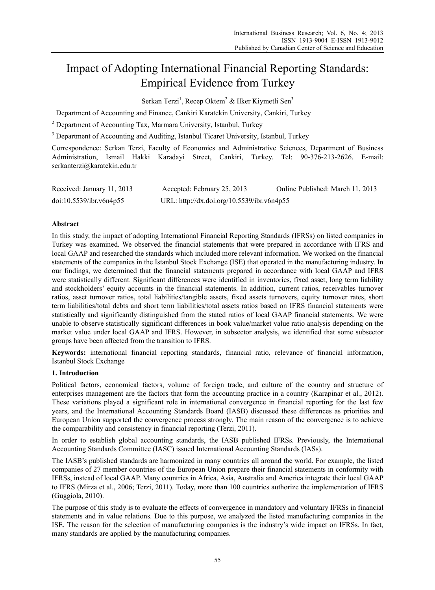# Impact of Adopting International Financial Reporting Standards: Empirical Evidence from Turkey

Serkan Terzi<sup>1</sup>, Recep Oktem<sup>2</sup> & Ilker Kiymetli Sen<sup>3</sup>

<sup>1</sup> Department of Accounting and Finance, Cankiri Karatekin University, Cankiri, Turkey

<sup>2</sup> Department of Accounting Tax, Marmara University, Istanbul, Turkey

<sup>3</sup> Department of Accounting and Auditing, Istanbul Ticaret University, Istanbul, Turkey

Correspondence: Serkan Terzi, Faculty of Economics and Administrative Sciences, Department of Business Administration, Ismail Hakki Karadayi Street, Cankiri, Turkey. Tel: 90-376-213-2626. E-mail: serkanterzi@karatekin.edu.tr

| Received: January 11, 2013 | Accepted: February 25, 2013                | Online Published: March 11, 2013 |
|----------------------------|--------------------------------------------|----------------------------------|
| doi:10.5539/ibr.v6n4p55    | URL: http://dx.doi.org/10.5539/ibr.v6n4p55 |                                  |

# **Abstract**

In this study, the impact of adopting International Financial Reporting Standards (IFRSs) on listed companies in Turkey was examined. We observed the financial statements that were prepared in accordance with IFRS and local GAAP and researched the standards which included more relevant information. We worked on the financial statements of the companies in the Istanbul Stock Exchange (ISE) that operated in the manufacturing industry. In our findings, we determined that the financial statements prepared in accordance with local GAAP and IFRS were statistically different. Significant differences were identified in inventories, fixed asset, long term liability and stockholders' equity accounts in the financial statements. In addition, current ratios, receivables turnover ratios, asset turnover ratios, total liabilities/tangible assets, fixed assets turnovers, equity turnover rates, short term liabilities/total debts and short term liabilities/total assets ratios based on IFRS financial statements were statistically and significantly distinguished from the stated ratios of local GAAP financial statements. We were unable to observe statistically significant differences in book value/market value ratio analysis depending on the market value under local GAAP and IFRS. However, in subsector analysis, we identified that some subsector groups have been affected from the transition to IFRS.

**Keywords:** international financial reporting standards, financial ratio, relevance of financial information, Istanbul Stock Exchange

# **1. Introduction**

Political factors, economical factors, volume of foreign trade, and culture of the country and structure of enterprises management are the factors that form the accounting practice in a country (Karapinar et al., 2012). These variations played a significant role in international convergence in financial reporting for the last few years, and the International Accounting Standards Board (IASB) discussed these differences as priorities and European Union supported the convergence process strongly. The main reason of the convergence is to achieve the comparability and consistency in financial reporting (Terzi, 2011).

In order to establish global accounting standards, the IASB published IFRSs. Previously, the International Accounting Standards Committee (IASC) issued International Accounting Standards (IASs).

The IASB's published standards are harmonized in many countries all around the world. For example, the listed companies of 27 member countries of the European Union prepare their financial statements in conformity with IFRSs, instead of local GAAP. Many countries in Africa, Asia, Australia and America integrate their local GAAP to IFRS (Mirza et al., 2006; Terzi, 2011). Today, more than 100 countries authorize the implementation of IFRS (Guggiola, 2010).

The purpose of this study is to evaluate the effects of convergence in mandatory and voluntary IFRSs in financial statements and in value relations. Due to this purpose, we analyzed the listed manufacturing companies in the ISE. The reason for the selection of manufacturing companies is the industry's wide impact on IFRSs. In fact, many standards are applied by the manufacturing companies.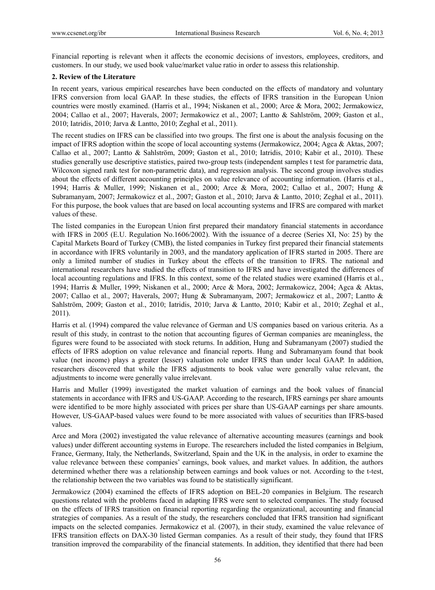Financial reporting is relevant when it affects the economic decisions of investors, employees, creditors, and customers. In our study, we used book value/market value ratio in order to assess this relationship.

# **2. Review of the Literature**

In recent years, various empirical researches have been conducted on the effects of mandatory and voluntary IFRS conversion from local GAAP. In these studies, the effects of IFRS transition in the European Union countries were mostly examined. (Harris et al., 1994; Niskanen et al., 2000; Arce & Mora, 2002; Jermakowicz, 2004; Callao et al., 2007; Haverals, 2007; Jermakowicz et al., 2007; Lantto & Sahlström, 2009; Gaston et al., 2010; Iatridis, 2010; Jarva & Lantto, 2010; Zeghal et al., 2011).

The recent studies on IFRS can be classified into two groups. The first one is about the analysis focusing on the impact of IFRS adoption within the scope of local accounting systems (Jermakowicz, 2004; Agca & Aktas, 2007; Callao et al., 2007; Lantto & Sahlström, 2009; Gaston et al., 2010; Iatridis, 2010; Kabir et al., 2010). These studies generally use descriptive statistics, paired two-group tests (independent samples t test for parametric data, Wilcoxon signed rank test for non-parametric data), and regression analysis. The second group involves studies about the effects of different accounting principles on value relevance of accounting information. (Harris et al., 1994; Harris & Muller, 1999; Niskanen et al., 2000; Arce & Mora, 2002; Callao et al., 2007; Hung & Subramanyam, 2007; Jermakowicz et al., 2007; Gaston et al., 2010; Jarva & Lantto, 2010; Zeghal et al., 2011). For this purpose, the book values that are based on local accounting systems and IFRS are compared with market values of these.

The listed companies in the European Union first prepared their mandatory financial statements in accordance with IFRS in 2005 (E.U. Regulation No.1606/2002). With the issuance of a decree (Series XI, No: 25) by the Capital Markets Board of Turkey (CMB), the listed companies in Turkey first prepared their financial statements in accordance with IFRS voluntarily in 2003, and the mandatory application of IFRS started in 2005. There are only a limited number of studies in Turkey about the effects of the transition to IFRS. The national and international researchers have studied the effects of transition to IFRS and have investigated the differences of local accounting regulations and IFRS. In this context, some of the related studies were examined (Harris et al., 1994; Harris & Muller, 1999; Niskanen et al., 2000; Arce & Mora, 2002; Jermakowicz, 2004; Agca & Aktas, 2007; Callao et al., 2007; Haverals, 2007; Hung & Subramanyam, 2007; Jermakowicz et al., 2007; Lantto & Sahlström, 2009; Gaston et al., 2010; Iatridis, 2010; Jarva & Lantto, 2010; Kabir et al., 2010; Zeghal et al., 2011).

Harris et al. (1994) compared the value relevance of German and US companies based on various criteria. As a result of this study, in contrast to the notion that accounting figures of German companies are meaningless, the figures were found to be associated with stock returns. In addition, Hung and Subramanyam (2007) studied the effects of IFRS adoption on value relevance and financial reports. Hung and Subramanyam found that book value (net income) plays a greater (lesser) valuation role under IFRS than under local GAAP. In addition, researchers discovered that while the IFRS adjustments to book value were generally value relevant, the adjustments to income were generally value irrelevant.

Harris and Muller (1999) investigated the market valuation of earnings and the book values of financial statements in accordance with IFRS and US-GAAP. According to the research, IFRS earnings per share amounts were identified to be more highly associated with prices per share than US-GAAP earnings per share amounts. However, US-GAAP-based values were found to be more associated with values of securities than IFRS-based values.

Arce and Mora (2002) investigated the value relevance of alternative accounting measures (earnings and book values) under different accounting systems in Europe. The researchers included the listed companies in Belgium, France, Germany, Italy, the Netherlands, Switzerland, Spain and the UK in the analysis, in order to examine the value relevance between these companies' earnings, book values, and market values. In addition, the authors determined whether there was a relationship between earnings and book values or not. According to the t-test, the relationship between the two variables was found to be statistically significant.

Jermakowicz (2004) examined the effects of IFRS adoption on BEL-20 companies in Belgium. The research questions related with the problems faced in adapting IFRS were sent to selected companies. The study focused on the effects of IFRS transition on financial reporting regarding the organizational, accounting and financial strategies of companies. As a result of the study, the researchers concluded that IFRS transition had significant impacts on the selected companies. Jermakowicz et al. (2007), in their study, examined the value relevance of IFRS transition effects on DAX-30 listed German companies. As a result of their study, they found that IFRS transition improved the comparability of the financial statements. In addition, they identified that there had been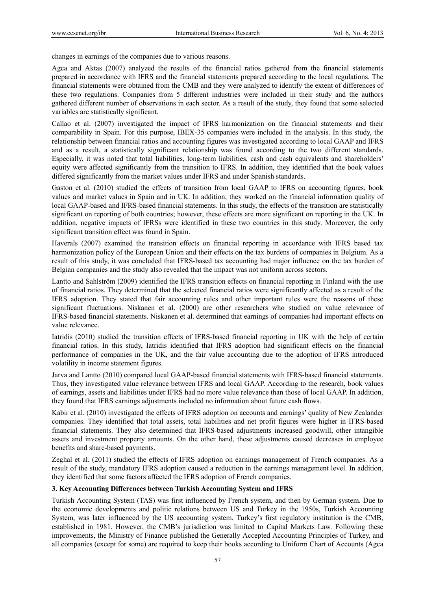changes in earnings of the companies due to various reasons.

Agca and Aktas (2007) analyzed the results of the financial ratios gathered from the financial statements prepared in accordance with IFRS and the financial statements prepared according to the local regulations. The financial statements were obtained from the CMB and they were analyzed to identify the extent of differences of these two regulations. Companies from 5 different industries were included in their study and the authors gathered different number of observations in each sector. As a result of the study, they found that some selected variables are statistically significant.

Callao et al. (2007) investigated the impact of IFRS harmonization on the financial statements and their comparability in Spain. For this purpose, IBEX-35 companies were included in the analysis. In this study, the relationship between financial ratios and accounting figures was investigated according to local GAAP and IFRS and as a result, a statistically significant relationship was found according to the two different standards. Especially, it was noted that total liabilities, long-term liabilities, cash and cash equivalents and shareholders' equity were affected significantly from the transition to IFRS. In addition, they identified that the book values differed significantly from the market values under IFRS and under Spanish standards.

Gaston et al. (2010) studied the effects of transition from local GAAP to IFRS on accounting figures, book values and market values in Spain and in UK. In addition, they worked on the financial information quality of local GAAP-based and IFRS-based financial statements. In this study, the effects of the transition are statistically significant on reporting of both countries; however, these effects are more significant on reporting in the UK. In addition, negative impacts of IFRSs were identified in these two countries in this study. Moreover, the only significant transition effect was found in Spain.

Haverals (2007) examined the transition effects on financial reporting in accordance with IFRS based tax harmonization policy of the European Union and their effects on the tax burdens of companies in Belgium. As a result of this study, it was concluded that IFRS-based tax accounting had major influence on the tax burden of Belgian companies and the study also revealed that the impact was not uniform across sectors.

Lantto and Sahlström (2009) identified the IFRS transition effects on financial reporting in Finland with the use of financial ratios. They determined that the selected financial ratios were significantly affected as a result of the IFRS adoption. They stated that fair accounting rules and other important rules were the reasons of these significant fluctuations. Niskanen et al. (2000) are other researchers who studied on value relevance of IFRS-based financial statements. Niskanen et al. determined that earnings of companies had important effects on value relevance.

Iatridis (2010) studied the transition effects of IFRS-based financial reporting in UK with the help of certain financial ratios. In this study, Iatridis identified that IFRS adoption had significant effects on the financial performance of companies in the UK, and the fair value accounting due to the adoption of IFRS introduced volatility in income statement figures.

Jarva and Lantto (2010) compared local GAAP-based financial statements with IFRS-based financial statements. Thus, they investigated value relevance between IFRS and local GAAP. According to the research, book values of earnings, assets and liabilities under IFRS had no more value relevance than those of local GAAP. In addition, they found that IFRS earnings adjustments included no information about future cash flows.

Kabir et al. (2010) investigated the effects of IFRS adoption on accounts and earnings' quality of New Zealander companies. They identified that total assets, total liabilities and net profit figures were higher in IFRS-based financial statements. They also determined that IFRS-based adjustments increased goodwill, other intangible assets and investment property amounts. On the other hand, these adjustments caused decreases in employee benefits and share-based payments.

Zeghal et al. (2011) studied the effects of IFRS adoption on earnings management of French companies. As a result of the study, mandatory IFRS adoption caused a reduction in the earnings management level. In addition, they identified that some factors affected the IFRS adoption of French companies.

# **3. Key Accounting Differences between Turkish Accounting System and IFRS**

Turkish Accounting System (TAS) was first influenced by French system, and then by German system. Due to the economic developments and politic relations between US and Turkey in the 1950s, Turkish Accounting System, was later influenced by the US accounting system. Turkey's first regulatory institution is the CMB, established in 1981. However, the CMB's jurisdiction was limited to Capital Markets Law. Following these improvements, the Ministry of Finance published the Generally Accepted Accounting Principles of Turkey, and all companies (except for some) are required to keep their books according to Uniform Chart of Accounts (Agca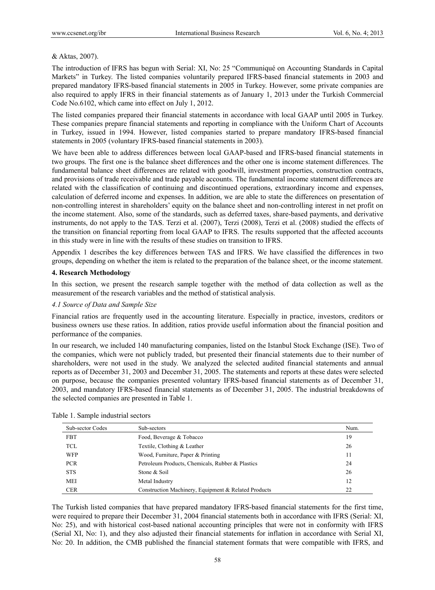# & Aktas, 2007).

The introduction of IFRS has begun with Serial: XI, No: 25 "Communiqué on Accounting Standards in Capital Markets" in Turkey. The listed companies voluntarily prepared IFRS-based financial statements in 2003 and prepared mandatory IFRS-based financial statements in 2005 in Turkey. However, some private companies are also required to apply IFRS in their financial statements as of January 1, 2013 under the Turkish Commercial Code No.6102, which came into effect on July 1, 2012.

The listed companies prepared their financial statements in accordance with local GAAP until 2005 in Turkey. These companies prepare financial statements and reporting in compliance with the Uniform Chart of Accounts in Turkey, issued in 1994. However, listed companies started to prepare mandatory IFRS-based financial statements in 2005 (voluntary IFRS-based financial statements in 2003).

We have been able to address differences between local GAAP-based and IFRS-based financial statements in two groups. The first one is the balance sheet differences and the other one is income statement differences. The fundamental balance sheet differences are related with goodwill, investment properties, construction contracts, and provisions of trade receivable and trade payable accounts. The fundamental income statement differences are related with the classification of continuing and discontinued operations, extraordinary income and expenses, calculation of deferred income and expenses. In addition, we are able to state the differences on presentation of non-controlling interest in shareholders' equity on the balance sheet and non-controlling interest in net profit on the income statement. Also, some of the standards, such as deferred taxes, share-based payments, and derivative instruments, do not apply to the TAS. Terzi et al. (2007), Terzi (2008), Terzi et al. (2008) studied the effects of the transition on financial reporting from local GAAP to IFRS. The results supported that the affected accounts in this study were in line with the results of these studies on transition to IFRS.

Appendix 1 describes the key differences between TAS and IFRS. We have classified the differences in two groups, depending on whether the item is related to the preparation of the balance sheet, or the income statement.

# **4. Research Methodology**

In this section, we present the research sample together with the method of data collection as well as the measurement of the research variables and the method of statistical analysis.

# *4.1 Source of Data and Sample Size*

Financial ratios are frequently used in the accounting literature. Especially in practice, investors, creditors or business owners use these ratios. In addition, ratios provide useful information about the financial position and performance of the companies.

In our research, we included 140 manufacturing companies, listed on the Istanbul Stock Exchange (ISE). Two of the companies, which were not publicly traded, but presented their financial statements due to their number of shareholders, were not used in the study. We analyzed the selected audited financial statements and annual reports as of December 31, 2003 and December 31, 2005. The statements and reports at these dates were selected on purpose, because the companies presented voluntary IFRS-based financial statements as of December 31, 2003, and mandatory IFRS-based financial statements as of December 31, 2005. The industrial breakdowns of the selected companies are presented in Table 1.

| Sub-sector Codes | Sub-sectors                                          | Num. |
|------------------|------------------------------------------------------|------|
| <b>FBT</b>       | Food, Beverage & Tobacco                             | 19   |
| <b>TCL</b>       | Textile, Clothing & Leather                          | 26   |
| <b>WFP</b>       | Wood, Furniture, Paper & Printing                    | 11   |
| <b>PCR</b>       | Petroleum Products, Chemicals, Rubber & Plastics     | 24   |
| <b>STS</b>       | Stone & Soil                                         | 26   |
| <b>MEI</b>       | Metal Industry                                       | 12   |
| <b>CER</b>       | Construction Machinery, Equipment & Related Products | 22   |

Table 1. Sample industrial sectors

The Turkish listed companies that have prepared mandatory IFRS-based financial statements for the first time, were required to prepare their December 31, 2004 financial statements both in accordance with IFRS (Serial: XI, No: 25), and with historical cost-based national accounting principles that were not in conformity with IFRS (Serial XI, No: 1), and they also adjusted their financial statements for inflation in accordance with Serial XI, No: 20. In addition, the CMB published the financial statement formats that were compatible with IFRS, and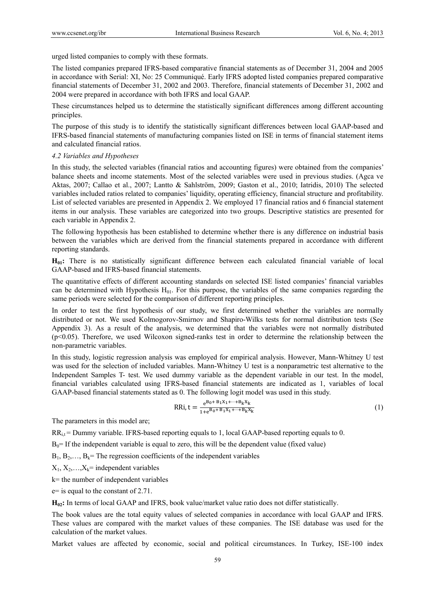urged listed companies to comply with these formats.

The listed companies prepared IFRS-based comparative financial statements as of December 31, 2004 and 2005 in accordance with Serial: XI, No: 25 Communiqué. Early IFRS adopted listed companies prepared comparative financial statements of December 31, 2002 and 2003. Therefore, financial statements of December 31, 2002 and 2004 were prepared in accordance with both IFRS and local GAAP.

These circumstances helped us to determine the statistically significant differences among different accounting principles.

The purpose of this study is to identify the statistically significant differences between local GAAP-based and IFRS-based financial statements of manufacturing companies listed on ISE in terms of financial statement items and calculated financial ratios.

# *4.2 Variables and Hypotheses*

In this study, the selected variables (financial ratios and accounting figures) were obtained from the companies' balance sheets and income statements. Most of the selected variables were used in previous studies. (Agca ve Aktas, 2007; Callao et al., 2007; Lantto & Sahlström, 2009; Gaston et al., 2010; Iatridis, 2010) The selected variables included ratios related to companies' liquidity, operating efficiency, financial structure and profitability. List of selected variables are presented in Appendix 2. We employed 17 financial ratios and 6 financial statement items in our analysis. These variables are categorized into two groups. Descriptive statistics are presented for each variable in Appendix 2.

The following hypothesis has been established to determine whether there is any difference on industrial basis between the variables which are derived from the financial statements prepared in accordance with different reporting standards.

**H01:** There is no statistically significant difference between each calculated financial variable of local GAAP-based and IFRS-based financial statements.

The quantitative effects of different accounting standards on selected ISE listed companies' financial variables can be determined with Hypothesis  $H_{01}$ . For this purpose, the variables of the same companies regarding the same periods were selected for the comparison of different reporting principles.

In order to test the first hypothesis of our study, we first determined whether the variables are normally distributed or not. We used Kolmogorov-Smirnov and Shapiro-Wilks tests for normal distribution tests (See Appendix 3). As a result of the analysis, we determined that the variables were not normally distributed (p<0.05). Therefore, we used Wilcoxon signed-ranks test in order to determine the relationship between the non-parametric variables.

In this study, logistic regression analysis was employed for empirical analysis. However, Mann-Whitney U test was used for the selection of included variables. Mann-Whitney U test is a nonparametric test alternative to the Independent Samples T- test. We used dummy variable as the dependent variable in our test. In the model, financial variables calculated using IFRS-based financial statements are indicated as 1, variables of local GAAP-based financial statements stated as 0. The following logit model was used in this study.

$$
RRi, t = \frac{e^{B_0 + B_1 X_1 + \dots + B_k X_k}}{1 + e^{B_0 + B_1 X_1 + \dots + B_k X_k}}
$$
(1)

The parameters in this model are;

 $RR_{i}$  = Dummy variable. IFRS-based reporting equals to 1, local GAAP-based reporting equals to 0.

 $B_0$ = If the independent variable is equal to zero, this will be the dependent value (fixed value)

 $B_1, B_2, \ldots, B_k$ = The regression coefficients of the independent variables

 $X_1, X_2, \ldots, X_k$ = independent variables

k= the number of independent variables

e= is equal to the constant of 2.71.

**H02:** In terms of local GAAP and IFRS, book value/market value ratio does not differ statistically.

The book values are the total equity values of selected companies in accordance with local GAAP and IFRS. These values are compared with the market values of these companies. The ISE database was used for the calculation of the market values.

Market values are affected by economic, social and political circumstances. In Turkey, ISE-100 index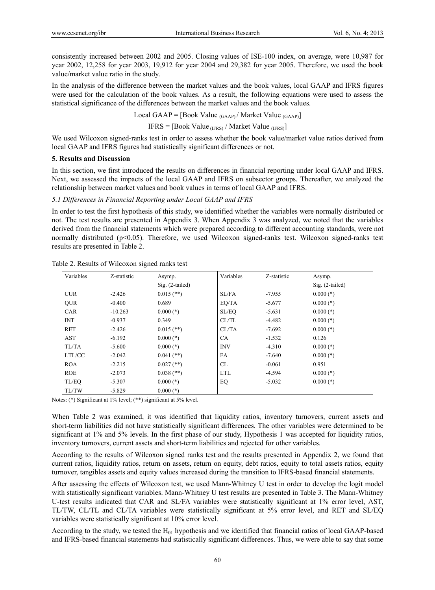consistently increased between 2002 and 2005. Closing values of ISE-100 index, on average, were 10,987 for year 2002, 12,258 for year 2003, 19,912 for year 2004 and 29,382 for year 2005. Therefore, we used the book value/market value ratio in the study.

In the analysis of the difference between the market values and the book values, local GAAP and IFRS figures were used for the calculation of the book values. As a result, the following equations were used to assess the statistical significance of the differences between the market values and the book values.

Local GAAP =  $[Book Value_{(GARP)} / Market Value_{(GARP)}]$ 

 $IFRS = [Book Value_{(IFRS)} / Market Value_{(IFRS)}]$ 

We used Wilcoxon signed-ranks test in order to assess whether the book value/market value ratios derived from local GAAP and IFRS figures had statistically significant differences or not.

#### **5. Results and Discussion**

In this section, we first introduced the results on differences in financial reporting under local GAAP and IFRS. Next, we assessed the impacts of the local GAAP and IFRS on subsector groups. Thereafter, we analyzed the relationship between market values and book values in terms of local GAAP and IFRS.

#### *5.1 Differences in Financial Reporting under Local GAAP and IFRS*

In order to test the first hypothesis of this study, we identified whether the variables were normally distributed or not. The test results are presented in Appendix 3. When Appendix 3 was analyzed, we noted that the variables derived from the financial statements which were prepared according to different accounting standards, were not normally distributed (p<0.05). Therefore, we used Wilcoxon signed-ranks test. Wilcoxon signed-ranks test results are presented in Table 2.

| Variables  | Z-statistic | Asymp.            | Variables  | Z-statistic | Asymp.            |
|------------|-------------|-------------------|------------|-------------|-------------------|
|            |             | $Sig. (2-tailed)$ |            |             | $Sig. (2-tailed)$ |
| <b>CUR</b> | $-2.426$    | $0.015$ (**)      | SL/FA      | $-7.955$    | $0.000$ (*)       |
| <b>QUR</b> | $-0.400$    | 0.689             | EO/TA      | $-5.677$    | $0.000$ (*)       |
| CAR        | $-10.263$   | $0.000$ (*)       | SL/EO      | $-5.631$    | $0.000$ (*)       |
| <b>INT</b> | $-0.937$    | 0.349             | CL/TL      | $-4.482$    | $0.000$ (*)       |
| <b>RET</b> | $-2.426$    | $0.015$ (**)      | CL/TA      | $-7.692$    | $0.000$ (*)       |
| <b>AST</b> | $-6.192$    | $0.000$ (*)       | CA         | $-1.532$    | 0.126             |
| TL/TA      | $-5.600$    | $0.000$ (*)       | <b>INV</b> | $-4.310$    | $0.000$ (*)       |
| LTL/CC     | $-2.042$    | $0.041$ (**)      | FA         | $-7.640$    | $0.000$ (*)       |
| <b>ROA</b> | $-2.215$    | $0.027$ (**)      | CL         | $-0.061$    | 0.951             |
| <b>ROE</b> | $-2.073$    | $0.038$ (**)      | <b>LTL</b> | $-4.594$    | $0.000$ (*)       |
| TL/EO      | $-5.307$    | $0.000$ (*)       | EQ         | $-5.032$    | $0.000$ (*)       |
| TL/TW      | $-5.829$    | $0.000$ (*)       |            |             |                   |

Table 2. Results of Wilcoxon signed ranks test

Notes: (\*) Significant at 1% level; (\*\*) significant at 5% level.

When Table 2 was examined, it was identified that liquidity ratios, inventory turnovers, current assets and short-term liabilities did not have statistically significant differences. The other variables were determined to be significant at 1% and 5% levels. In the first phase of our study, Hypothesis 1 was accepted for liquidity ratios, inventory turnovers, current assets and short-term liabilities and rejected for other variables.

According to the results of Wilcoxon signed ranks test and the results presented in Appendix 2, we found that current ratios, liquidity ratios, return on assets, return on equity, debt ratios, equity to total assets ratios, equity turnover, tangibles assets and equity values increased during the transition to IFRS-based financial statements.

After assessing the effects of Wilcoxon test, we used Mann-Whitney U test in order to develop the logit model with statistically significant variables. Mann-Whitney U test results are presented in Table 3. The Mann-Whitney U-test results indicated that CAR and SL/FA variables were statistically significant at 1% error level, AST, TL/TW, CL/TL and CL/TA variables were statistically significant at 5% error level, and RET and SL/EQ variables were statistically significant at 10% error level.

According to the study, we tested the  $H_{01}$  hypothesis and we identified that financial ratios of local GAAP-based and IFRS-based financial statements had statistically significant differences. Thus, we were able to say that some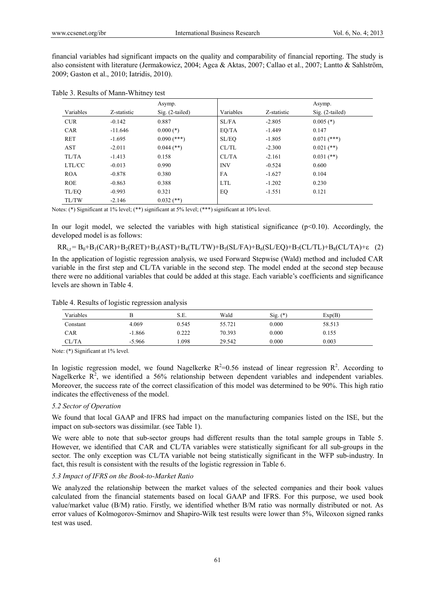financial variables had significant impacts on the quality and comparability of financial reporting. The study is also consistent with literature (Jermakowicz, 2004; Agca & Aktas, 2007; Callao et al., 2007; Lantto & Sahlström, 2009; Gaston et al., 2010; Iatridis, 2010).

|            |             | Asymp.            |            |             | Asymp.            |
|------------|-------------|-------------------|------------|-------------|-------------------|
| Variables  | Z-statistic | $Sig. (2-tailed)$ | Variables  | Z-statistic | $Sig. (2-tailed)$ |
| <b>CUR</b> | $-0.142$    | 0.887             | SL/FA      | $-2.805$    | $0.005$ (*)       |
| <b>CAR</b> | $-11.646$   | $0.000$ (*)       | EO/TA      | $-1.449$    | 0.147             |
| <b>RET</b> | $-1.695$    | $0.090$ (***)     | SL/EO      | $-1.805$    | $0.071$ (***)     |
| <b>AST</b> | $-2.011$    | $0.044$ (**)      | CL/TL      | $-2.300$    | $0.021$ (**)      |
| TL/TA      | $-1.413$    | 0.158             | CL/TA      | $-2.161$    | $0.031$ (**)      |
| LTL/CC     | $-0.013$    | 0.990             | <b>INV</b> | $-0.524$    | 0.600             |
| <b>ROA</b> | $-0.878$    | 0.380             | FA         | $-1.627$    | 0.104             |
| <b>ROE</b> | $-0.863$    | 0.388             | <b>LTL</b> | $-1.202$    | 0.230             |
| TL/EO      | $-0.993$    | 0.321             | EQ         | $-1.551$    | 0.121             |
| TL/TW      | $-2.146$    | $0.032$ (**)      |            |             |                   |

|  |  |  | Table 3. Results of Mann-Whitney test |
|--|--|--|---------------------------------------|
|--|--|--|---------------------------------------|

Notes: (\*) Significant at 1% level; (\*\*) significant at 5% level; (\*\*\*) significant at 10% level.

In our logit model, we selected the variables with high statistical significance  $(p<0.10)$ . Accordingly, the developed model is as follows:

 $RR_{i,t} = B_0 + B_1(CAR) + B_2(RET) + B_3(AST) + B_4(TL/TW) + B_5(SL/FA) + B_6(SL/EQ) + B_7(CL/TL) + B_8(CL/TA) + \epsilon$  (2)

In the application of logistic regression analysis, we used Forward Stepwise (Wald) method and included CAR variable in the first step and CL/TA variable in the second step. The model ended at the second step because there were no additional variables that could be added at this stage. Each variable's coefficients and significance levels are shown in Table 4.

|  | Table 4. Results of logistic regression analysis |  |
|--|--------------------------------------------------|--|
|  |                                                  |  |

| Variables  |          | S.E.  | Wald   | Sig. $(*)$ | Exp(B) |  |
|------------|----------|-------|--------|------------|--------|--|
| Constant   | 4.069    | 0.545 | 55.721 | $0.000\,$  | 58.513 |  |
| <b>CAR</b> | $-1.866$ | 0.222 | 70.393 | 0.000      | 0.155  |  |
| CL/TA      | -5.966   | .098  | 29.542 | $0.000\,$  | 0.003  |  |

Note: (\*) Significant at 1% level.

In logistic regression model, we found Nagelkerke  $R^2$ =0.56 instead of linear regression  $R^2$ . According to Nagelkerke  $\mathbb{R}^2$ , we identified a 56% relationship between dependent variables and independent variables. Moreover, the success rate of the correct classification of this model was determined to be 90%. This high ratio indicates the effectiveness of the model.

# *5.2 Sector of Operation*

We found that local GAAP and IFRS had impact on the manufacturing companies listed on the ISE, but the impact on sub-sectors was dissimilar. (see Table 1).

We were able to note that sub-sector groups had different results than the total sample groups in Table 5. However, we identified that CAR and CL/TA variables were statistically significant for all sub-groups in the sector. The only exception was CL/TA variable not being statistically significant in the WFP sub-industry. In fact, this result is consistent with the results of the logistic regression in Table 6.

# *5.3 Impact of IFRS on the Book-to-Market Ratio*

We analyzed the relationship between the market values of the selected companies and their book values calculated from the financial statements based on local GAAP and IFRS. For this purpose, we used book value/market value (B/M) ratio. Firstly, we identified whether B/M ratio was normally distributed or not. As error values of Kolmogorov-Smirnov and Shapiro-Wilk test results were lower than 5%, Wilcoxon signed ranks test was used.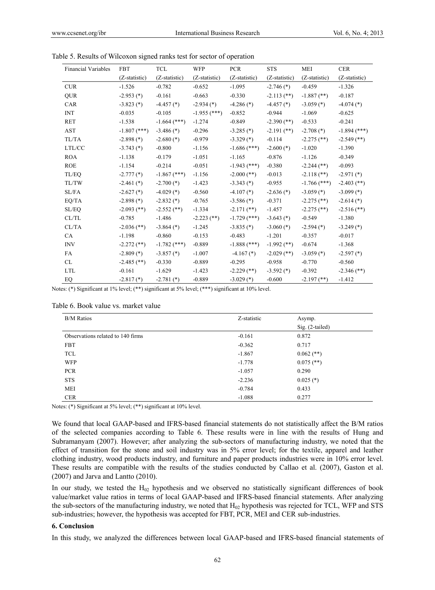| <b>Financial Variables</b> | <b>FBT</b>     | <b>TCL</b>     | <b>WFP</b>      | <b>PCR</b>      | <b>STS</b>      | MEI            | <b>CER</b>     |
|----------------------------|----------------|----------------|-----------------|-----------------|-----------------|----------------|----------------|
|                            | (Z-statistic)  | (Z-statistic)  | $(Z-statistic)$ | $(Z-statistic)$ | $(Z-statistic)$ | (Z-statistic)  | (Z-statistic)  |
| <b>CUR</b>                 | $-1.526$       | $-0.782$       | $-0.652$        | $-1.095$        | $-2.746$ (*)    | $-0.459$       | $-1.326$       |
| <b>OUR</b>                 | $-2.953$ (*)   | $-0.161$       | $-0.663$        | $-0.330$        | $-2.113$ (**)   | $-1.887$ (**)  | $-0.187$       |
| CAR                        | $-3.823$ (*)   | $-4.457$ (*)   | $-2.934$ $(*)$  | $-4.286$ (*)    | $-4.457$ $(*)$  | $-3.059$ (*)   | $-4.074$ (*)   |
| <b>INT</b>                 | $-0.035$       | $-0.105$       | $-1.955$ (***)  | $-0.852$        | $-0.944$        | $-1.069$       | $-0.625$       |
| <b>RET</b>                 | $-1.538$       | $-1.664$ (***) | $-1.274$        | $-0.849$        | $-2.390$ (**)   | $-0.533$       | $-0.241$       |
| <b>AST</b>                 | $-1.807$ (***) | $-3.486$ (*)   | $-0.296$        | $-3.285$ (*)    | $-2.191$ (**)   | $-2.708$ $(*)$ | $-1.894$ (***) |
| TL/TA                      | $-2.898$ (*)   | $-2.680$ (*)   | $-0.979$        | $-3.329$ (*)    | $-0.114$        | $-2.275$ (**)  | $-2.549$ (**)  |
| LTL/CC                     | $-3.743$ (*)   | $-0.800$       | $-1.156$        | $-1.686$ (***)  | $-2.600$ (*)    | $-1.020$       | $-1.390$       |
| <b>ROA</b>                 | $-1.138$       | $-0.179$       | $-1.051$        | $-1.165$        | $-0.876$        | $-1.126$       | $-0.349$       |
| <b>ROE</b>                 | $-1.154$       | $-0.214$       | $-0.051$        | $-1.943$ (***)  | $-0.380$        | $-2.244$ (**)  | $-0.093$       |
| TL/EO                      | $-2.777$ $(*)$ | $-1.867$ (***) | $-1.156$        | $-2.000$ (**)   | $-0.013$        | $-2.118$ (**)  | $-2.971$ (*)   |
| TL/TW                      | $-2.461$ (*)   | $-2.700$ (*)   | $-1.423$        | $-3.343$ (*)    | $-0.955$        | $-1.766$ (***) | $-2.403$ (**)  |
| SL/FA                      | $-2.627$ (*)   | $-4.029$ (*)   | $-0.560$        | $-4.107$ $(*)$  | $-2.636$ (*)    | $-3.059$ (*)   | $-3.099$ (*)   |
| EO/TA                      | $-2.898$ (*)   | $-2.832$ (*)   | $-0.765$        | $-3.586$ (*)    | $-0.371$        | $-2.275$ (**)  | $-2.614$ (*)   |
| SL/EO                      | $-2.093$ (**)  | $-2.552$ (**)  | $-1.334$        | $-2.171$ (**)   | $-1.457$        | $-2.275$ (**)  | $-2.516$ (**)  |
| CL/TL                      | $-0.785$       | $-1.486$       | $-2.223$ (**)   | $-1.729$ (***)  | $-3.643$ (*)    | $-0.549$       | $-1.380$       |
| CL/TA                      | $-2.036$ (**)  | $-3.864$ (*)   | $-1.245$        | $-3.835$ (*)    | $-3.060$ (*)    | $-2.594$ (*)   | $-3.249$ (*)   |
| CA.                        | $-1.198$       | $-0.860$       | $-0.153$        | $-0.483$        | $-1.201$        | $-0.357$       | $-0.017$       |
| <b>INV</b>                 | $-2.272$ (**)  | $-1.782$ (***) | $-0.889$        | $-1.888$ (***)  | $-1.992$ (**)   | $-0.674$       | $-1.368$       |
| FA                         | $-2.809$ (*)   | $-3.857$ (*)   | $-1.007$        | $-4.167$ (*)    | $-2.029$ (**)   | $-3.059$ (*)   | $-2.597$ (*)   |
| CL.                        | $-2.485$ (**)  | $-0.330$       | $-0.889$        | $-0.295$        | $-0.958$        | $-0.770$       | $-0.560$       |
| <b>LTL</b>                 | $-0.161$       | $-1.629$       | $-1.423$        | $-2.229$ (**)   | $-3.592$ (*)    | $-0.392$       | $-2.346$ (**)  |
| EO                         | $-2.817$ $(*)$ | $-2.781$ (*)   | $-0.889$        | $-3.029$ $(*)$  | $-0.600$        | $-2.197$ (**)  | $-1.412$       |

Table 5. Results of Wilcoxon signed ranks test for sector of operation

Notes: (\*) Significant at 1% level; (\*\*) significant at 5% level; (\*\*\*) significant at 10% level.

| Table 6. Book value vs. market value |  |  |  |  |  |
|--------------------------------------|--|--|--|--|--|
|--------------------------------------|--|--|--|--|--|

| <b>B/M Ratios</b>                 | Z-statistic | Asymp.          |
|-----------------------------------|-------------|-----------------|
|                                   |             | Sig. (2-tailed) |
| Observations related to 140 firms | $-0.161$    | 0.872           |
| <b>FBT</b>                        | $-0.362$    | 0.717           |
| <b>TCL</b>                        | $-1.867$    | $0.062$ (**)    |
| <b>WFP</b>                        | $-1.778$    | $0.075$ (**)    |
| <b>PCR</b>                        | $-1.057$    | 0.290           |
| <b>STS</b>                        | $-2.236$    | $0.025$ (*)     |
| <b>MEI</b>                        | $-0.784$    | 0.433           |
| <b>CER</b>                        | $-1.088$    | 0.277           |

Notes: (\*) Significant at 5% level; (\*\*) significant at 10% level.

We found that local GAAP-based and IFRS-based financial statements do not statistically affect the B/M ratios of the selected companies according to Table 6. These results were in line with the results of Hung and Subramanyam (2007). However; after analyzing the sub-sectors of manufacturing industry, we noted that the effect of transition for the stone and soil industry was in 5% error level; for the textile, apparel and leather clothing industry, wood products industry, and furniture and paper products industries were in 10% error level. These results are compatible with the results of the studies conducted by Callao et al. (2007), Gaston et al. (2007) and Jarva and Lantto (2010).

In our study, we tested the  $H_{02}$  hypothesis and we observed no statistically significant differences of book value/market value ratios in terms of local GAAP-based and IFRS-based financial statements. After analyzing the sub-sectors of the manufacturing industry, we noted that  $H_{02}$  hypothesis was rejected for TCL, WFP and STS sub-industries; however, the hypothesis was accepted for FBT, PCR, MEI and CER sub-industries.

## **6. Conclusion**

In this study, we analyzed the differences between local GAAP-based and IFRS-based financial statements of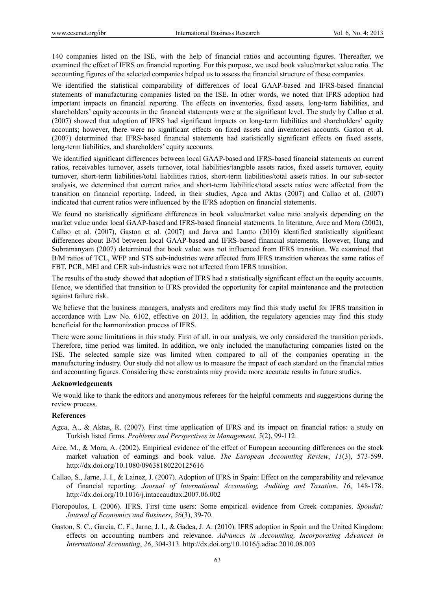140 companies listed on the ISE, with the help of financial ratios and accounting figures. Thereafter, we examined the effect of IFRS on financial reporting. For this purpose, we used book value/market value ratio. The accounting figures of the selected companies helped us to assess the financial structure of these companies.

We identified the statistical comparability of differences of local GAAP-based and IFRS-based financial statements of manufacturing companies listed on the ISE. In other words, we noted that IFRS adoption had important impacts on financial reporting. The effects on inventories, fixed assets, long-term liabilities, and shareholders' equity accounts in the financial statements were at the significant level. The study by Callao et al. (2007) showed that adoption of IFRS had significant impacts on long-term liabilities and shareholders' equity accounts; however, there were no significant effects on fixed assets and inventories accounts. Gaston et al. (2007) determined that IFRS-based financial statements had statistically significant effects on fixed assets, long-term liabilities, and shareholders' equity accounts.

We identified significant differences between local GAAP-based and IFRS-based financial statements on current ratios, receivables turnover, assets turnover, total liabilities/tangible assets ratios, fixed assets turnover, equity turnover, short-term liabilities/total liabilities ratios, short-term liabilities/total assets ratios. In our sub-sector analysis, we determined that current ratios and short-term liabilities/total assets ratios were affected from the transition on financial reporting. Indeed, in their studies, Agca and Aktas (2007) and Callao et al. (2007) indicated that current ratios were influenced by the IFRS adoption on financial statements.

We found no statistically significant differences in book value/market value ratio analysis depending on the market value under local GAAP-based and IFRS-based financial statements. In literature, Arce and Mora (2002), Callao et al. (2007), Gaston et al. (2007) and Jarva and Lantto (2010) identified statistically significant differences about B/M between local GAAP-based and IFRS-based financial statements. However, Hung and Subramanyam (2007) determined that book value was not influenced from IFRS transition. We examined that B/M ratios of TCL, WFP and STS sub-industries were affected from IFRS transition whereas the same ratios of FBT, PCR, MEI and CER sub-industries were not affected from IFRS transition.

The results of the study showed that adoption of IFRS had a statistically significant effect on the equity accounts. Hence, we identified that transition to IFRS provided the opportunity for capital maintenance and the protection against failure risk.

We believe that the business managers, analysts and creditors may find this study useful for IFRS transition in accordance with Law No. 6102, effective on 2013. In addition, the regulatory agencies may find this study beneficial for the harmonization process of IFRS.

There were some limitations in this study. First of all, in our analysis, we only considered the transition periods. Therefore, time period was limited. In addition, we only included the manufacturing companies listed on the ISE. The selected sample size was limited when compared to all of the companies operating in the manufacturing industry. Our study did not allow us to measure the impact of each standard on the financial ratios and accounting figures. Considering these constraints may provide more accurate results in future studies.

#### **Acknowledgements**

We would like to thank the editors and anonymous referees for the helpful comments and suggestions during the review process.

## **References**

- Agca, A., & Aktas, R. (2007). First time application of IFRS and its impact on financial ratios: a study on Turkish listed firms. *Problems and Perspectives in Management*, *5*(2), 99-112.
- Arce, M., & Mora, A. (2002). Empirical evidence of the effect of European accounting differences on the stock market valuation of earnings and book value. *The European Accounting Review*, *11*(3), 573-599. http://dx.doi.org/10.1080/09638180220125616
- Callao, S., Jarne, J. I., & Lainez, J. (2007). Adoption of IFRS in Spain: Effect on the comparability and relevance of financial reporting. *Journal of International Accounting, Auditing and Taxation*, *16*, 148-178. http://dx.doi.org/10.1016/j.intaccaudtax.2007.06.002
- Floropoulos, I. (2006). IFRS. First time users: Some empirical evidence from Greek companies. *Spoudai: Journal of Economics and Business*, *56*(3), 39-70.
- Gaston, S. C., Garcia, C. F., Jarne, J. I., & Gadea, J. A. (2010). IFRS adoption in Spain and the United Kingdom: effects on accounting numbers and relevance. *Advances in Accounting, Incorporating Advances in International Accounting*, *26*, 304-313. http://dx.doi.org/10.1016/j.adiac.2010.08.003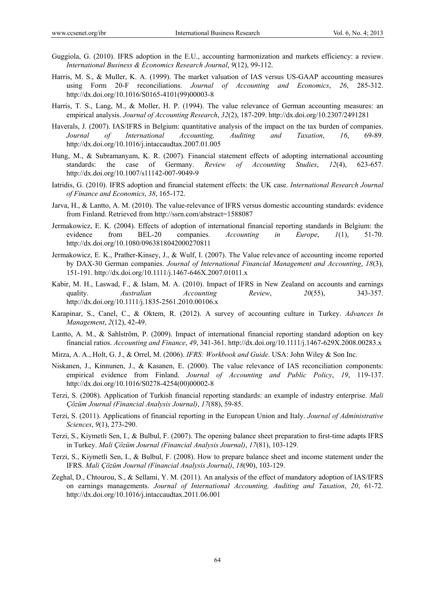- Guggiola, G. (2010). IFRS adoption in the E.U., accounting harmonization and markets efficiency: a review. *International Business & Economics Research Journal*, *9*(12), 99-112.
- Harris, M. S., & Muller, K. A. (1999). The market valuation of IAS versus US-GAAP accounting measures using Form 20-F reconciliations. *Journal of Accounting and Economics*, *26*, 285-312. http://dx.doi.org/10.1016/S0165-4101(99)00003-8
- Harris, T. S., Lang, M., & Moller, H. P. (1994). The value relevance of German accounting measures: an empirical analysis. *Journal of Accounting Research*, *32*(2), 187-209. http://dx.doi.org/10.2307/2491281
- Haverals, J. (2007). IAS/IFRS in Belgium: quantitative analysis of the impact on the tax burden of companies. *Journal of International Accounting, Auditing and Taxation*, *16*, 69-89. http://dx.doi.org/10.1016/j.intaccaudtax.2007.01.005
- Hung, M., & Subramanyam, K. R. (2007). Financial statement effects of adopting international accounting standards: the case of Germany. *Review of Accounting Studies*, *12*(4), 623-657. http://dx.doi.org/10.1007/s11142-007-9049-9
- Iatridis, G. (2010). IFRS adoption and financial statement effects: the UK case. *International Research Journal of Finance and Economics*, *38*, 165-172.
- Jarva, H., & Lantto, A. M. (2010). The value-relevance of IFRS versus domestic accounting standards: evidence from Finland. Retrieved from http://ssrn.com/abstract=1588087
- Jermakowicz, E. K. (2004). Effects of adoption of international financial reporting standards in Belgium: the evidence from BEL-20 companies. *Accounting in Europe*, *1*(1), 51-70. http://dx.doi.org/10.1080/0963818042000270811
- Jermakowicz, E. K., Prather-Kinsey, J., & Wulf, I. (2007). The Value relevance of accounting income reported by DAX-30 German companies. *Journal of International Financial Management and Accounting*, *18*(3), 151-191. http://dx.doi.org/10.1111/j.1467-646X.2007.01011.x
- Kabir, M. H., Laswad, F., & Islam, M. A. (2010). Impact of IFRS in New Zealand on accounts and earnings quality. *Australian Accounting Review*, *20*(55), 343-357. http://dx.doi.org/10.1111/j.1835-2561.2010.00106.x
- Karapinar, S., Canel, C., & Oktem, R. (2012). A survey of accounting culture in Turkey. *Advances In Management*, *2*(12), 42-49.
- Lantto, A. M., & Sahlström, P. (2009). Impact of international financial reporting standard adoption on key financial ratios. *Accounting and Finance*, *49*, 341-361. http://dx.doi.org/10.1111/j.1467-629X.2008.00283.x
- Mirza, A. A., Holt, G. J., & Orrel, M. (2006). *IFRS: Workbook and Guide*. USA: John Wiley & Son Inc.
- Niskanen, J., Kinnunen, J., & Kasanen, E. (2000). The value relevance of IAS reconciliation components: empirical evidence from Finland. *Journal of Accounting and Public Policy*, *19*, 119-137. http://dx.doi.org/10.1016/S0278-4254(00)00002-8
- Terzi, S. (2008). Application of Turkish financial reporting standards: an example of industry enterprise. *Mali Çözüm Journal (Financial Analysis Journal)*, *17*(88), 59-85.
- Terzi, S. (2011). Applications of financial reporting in the European Union and Italy. *Journal of Administrative Sciences*, *9*(1), 273-290.
- Terzi, S., Kiymetli Sen, I., & Bulbul, F. (2007). The opening balance sheet preparation to first-time adapts IFRS in Turkey. *Mali Çözüm Journal (Financial Analysis Journal)*, *17*(81), 103-129.
- Terzi, S., Kiymetli Sen, I., & Bulbul, F. (2008). How to prepare balance sheet and income statement under the IFRS. *Mali Çözüm Journal (Financial Analysis Journal)*, *18*(90), 103-129.
- Zeghal, D., Chtourou, S., & Sellami, Y. M. (2011). An analysis of the effect of mandatory adoption of IAS/IFRS on earnings managements. *Journal of International Accounting, Auditing and Taxation*, *20*, 61-72. http://dx.doi.org/10.1016/j.intaccaudtax.2011.06.001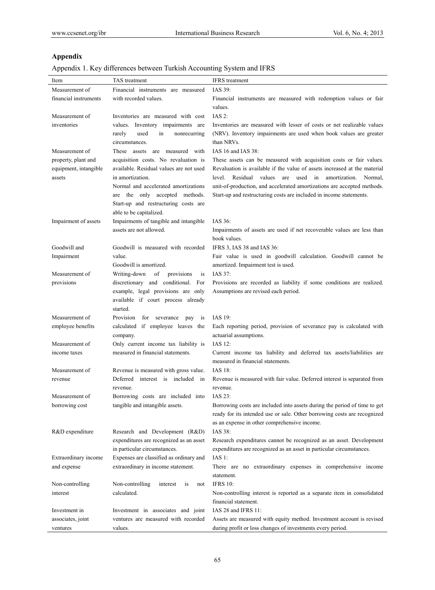# **Appendix**

|  | Appendix 1. Key differences between Turkish Accounting System and IFRS |  |  |  |
|--|------------------------------------------------------------------------|--|--|--|
|  |                                                                        |  |  |  |

| Item                       | TAS treatment                                                           | <b>IFRS</b> treatment                                                                        |
|----------------------------|-------------------------------------------------------------------------|----------------------------------------------------------------------------------------------|
| Measurement of             | Financial instruments are measured                                      | IAS 39:                                                                                      |
| financial instruments      | with recorded values.                                                   | Financial instruments are measured with redemption values or fair                            |
|                            |                                                                         | values.                                                                                      |
| Measurement of             | Inventories are measured with cost                                      | IAS 2:                                                                                       |
| inventories                | values. Inventory impairments are                                       | Inventories are measured with lesser of costs or net realizable values                       |
|                            | rarely<br>used<br>nonrecurring<br>in                                    | (NRV). Inventory impairments are used when book values are greater                           |
|                            | circumstances.                                                          | than NRVs.                                                                                   |
| Measurement of             | These assets are measured with                                          | IAS 16 and IAS 38:                                                                           |
| property, plant and        | acquisition costs. No revaluation is                                    | These assets can be measured with acquisition costs or fair values.                          |
| equipment, intangible      | available. Residual values are not used                                 | Revaluation is available if the value of assets increased at the material                    |
| assets                     | in amortization.                                                        | level. Residual values are used in amortization.<br>Normal,                                  |
|                            | Normal and accelerated amortizations                                    | unit-of-production, and accelerated amortizations are accepted methods.                      |
|                            | are the only accepted methods.                                          | Start-up and restructuring costs are included in income statements.                          |
|                            | Start-up and restructuring costs are                                    |                                                                                              |
|                            | able to be capitalized.                                                 |                                                                                              |
| Impairment of assets       | Impairments of tangible and intangible                                  | IAS 36:                                                                                      |
|                            | assets are not allowed.                                                 | Impairments of assets are used if net recoverable values are less than                       |
|                            |                                                                         | book values.                                                                                 |
| Goodwill and<br>Impairment | Goodwill is measured with recorded<br>value.                            | IFRS 3, IAS 38 and IAS 36:<br>Fair value is used in goodwill calculation. Goodwill cannot be |
|                            | Goodwill is amortized.                                                  | amortized. Impairment test is used.                                                          |
| Measurement of             | Writing-down<br>of<br>provisions<br>is                                  | IAS 37:                                                                                      |
| provisions                 | discretionary and conditional. For                                      | Provisions are recorded as liability if some conditions are realized.                        |
|                            | example, legal provisions are only                                      | Assumptions are revised each period.                                                         |
|                            | available if court process already                                      |                                                                                              |
|                            | started.                                                                |                                                                                              |
| Measurement of             | Provision<br>for severance<br>pay<br>is                                 | IAS 19:                                                                                      |
| employee benefits          | calculated if employee leaves the                                       | Each reporting period, provision of severance pay is calculated with                         |
|                            | company.                                                                | actuarial assumptions.                                                                       |
| Measurement of             | Only current income tax liability is                                    | IAS 12:                                                                                      |
| income taxes               | measured in financial statements.                                       | Current income tax liability and deferred tax assets/liabilities are                         |
|                            |                                                                         | measured in financial statements.                                                            |
| Measurement of             | Revenue is measured with gross value.                                   | IAS 18:                                                                                      |
| revenue                    | Deferred interest is included in                                        | Revenue is measured with fair value. Deferred interest is separated from                     |
|                            | revenue.                                                                | revenue.                                                                                     |
| Measurement of             | Borrowing costs are included into                                       | IAS 23:                                                                                      |
| borrowing cost             | tangible and intangible assets.                                         | Borrowing costs are included into assets during the period of time to get                    |
|                            |                                                                         | ready for its intended use or sale. Other borrowing costs are recognized                     |
|                            |                                                                         | as an expense in other comprehensive income.                                                 |
| R&D expenditure            | Research and Development (R&D)                                          | IAS 38:                                                                                      |
|                            | expenditures are recognized as an asset                                 | Research expenditures cannot be recognized as an asset. Development                          |
| Extraordinary income       | in particular circumstances.<br>Expenses are classified as ordinary and | expenditures are recognized as an asset in particular circumstances.<br>IAS 1:               |
| and expense                | extraordinary in income statement.                                      | There are no extraordinary expenses in comprehensive income                                  |
|                            |                                                                         | statement.                                                                                   |
| Non-controlling            | Non-controlling<br>interest<br><i>is</i><br>not                         | <b>IFRS 10:</b>                                                                              |
| interest                   | calculated.                                                             | Non-controlling interest is reported as a separate item in consolidated                      |
|                            |                                                                         | financial statement.                                                                         |
| Investment in              | Investment in associates and joint                                      | IAS 28 and IFRS 11:                                                                          |
| associates, joint          | ventures are measured with recorded                                     | Assets are measured with equity method. Investment account is revised                        |
| ventures                   | values.                                                                 | during profit or loss changes of investments every period.                                   |